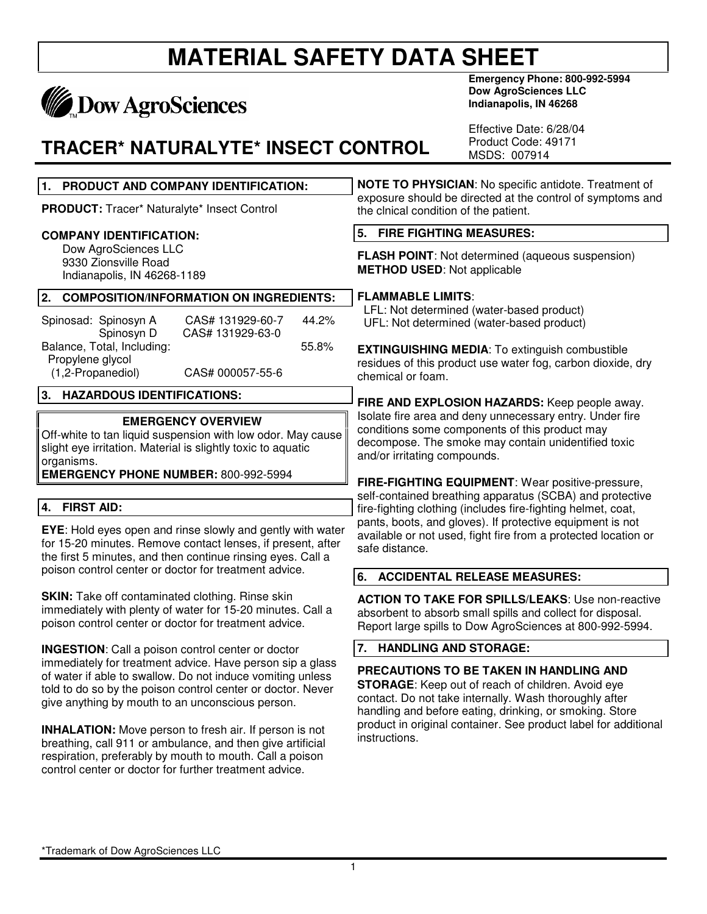# **MATERIAL SAFETY DATA SHEET**

# **MADOW AgroSciences**

### **TRACER\* NATURALYTE\* INSECT CONTROL**

**Emergency Phone: 800-992-5994 Dow AgroSciences LLC Indianapolis, IN 46268**

Effective Date: 6/28/04 Product Code: 49171 MSDS: 007914

| PRODUCT AND COMPANY IDENTIFICATION:<br>1.                                                                                                                                                                                                         | NOTE TO PHYSICIAN: No specific antidote. Treatment of<br>exposure should be directed at the control of symptoms and<br>the clnical condition of the patient.                                                                                       |  |
|---------------------------------------------------------------------------------------------------------------------------------------------------------------------------------------------------------------------------------------------------|----------------------------------------------------------------------------------------------------------------------------------------------------------------------------------------------------------------------------------------------------|--|
| PRODUCT: Tracer* Naturalyte* Insect Control                                                                                                                                                                                                       |                                                                                                                                                                                                                                                    |  |
| <b>COMPANY IDENTIFICATION:</b>                                                                                                                                                                                                                    | 5.<br><b>FIRE FIGHTING MEASURES:</b>                                                                                                                                                                                                               |  |
| Dow AgroSciences LLC<br>9330 Zionsville Road<br>Indianapolis, IN 46268-1189                                                                                                                                                                       | FLASH POINT: Not determined (aqueous suspension)<br><b>METHOD USED: Not applicable</b>                                                                                                                                                             |  |
| 2.<br><b>COMPOSITION/INFORMATION ON INGREDIENTS:</b>                                                                                                                                                                                              | <b>FLAMMABLE LIMITS:</b>                                                                                                                                                                                                                           |  |
| Spinosad: Spinosyn A<br>CAS# 131929-60-7<br>44.2%<br>Spinosyn D<br>CAS# 131929-63-0                                                                                                                                                               | LFL: Not determined (water-based product)<br>UFL: Not determined (water-based product)                                                                                                                                                             |  |
| Balance, Total, Including:<br>55.8%<br>Propylene glycol<br>(1,2-Propanediol)<br>CAS# 000057-55-6                                                                                                                                                  | <b>EXTINGUISHING MEDIA:</b> To extinguish combustible<br>residues of this product use water fog, carbon dioxide, dry<br>chemical or foam.                                                                                                          |  |
| 3.<br><b>HAZARDOUS IDENTIFICATIONS:</b>                                                                                                                                                                                                           | FIRE AND EXPLOSION HAZARDS: Keep people away.<br>Isolate fire area and deny unnecessary entry. Under fire<br>conditions some components of this product may<br>decompose. The smoke may contain unidentified toxic<br>and/or irritating compounds. |  |
| <b>EMERGENCY OVERVIEW</b><br>Off-white to tan liquid suspension with low odor. May cause<br>slight eye irritation. Material is slightly toxic to aquatic<br>organisms.                                                                            |                                                                                                                                                                                                                                                    |  |
| <b>EMERGENCY PHONE NUMBER: 800-992-5994</b>                                                                                                                                                                                                       | FIRE-FIGHTING EQUIPMENT: Wear positive-pressure,                                                                                                                                                                                                   |  |
| <b>FIRST AID:</b><br>4.                                                                                                                                                                                                                           | self-contained breathing apparatus (SCBA) and protective<br>fire-fighting clothing (includes fire-fighting helmet, coat,                                                                                                                           |  |
| EYE: Hold eyes open and rinse slowly and gently with water<br>for 15-20 minutes. Remove contact lenses, if present, after<br>the first 5 minutes, and then continue rinsing eyes. Call a                                                          | pants, boots, and gloves). If protective equipment is not<br>available or not used, fight fire from a protected location or<br>safe distance.                                                                                                      |  |
| poison control center or doctor for treatment advice.                                                                                                                                                                                             | 6.<br><b>ACCIDENTAL RELEASE MEASURES:</b>                                                                                                                                                                                                          |  |
| <b>SKIN:</b> Take off contaminated clothing. Rinse skin<br>immediately with plenty of water for 15-20 minutes. Call a<br>poison control center or doctor for treatment advice.                                                                    | <b>ACTION TO TAKE FOR SPILLS/LEAKS: Use non-reactive</b><br>absorbent to absorb small spills and collect for disposal.<br>Report large spills to Dow AgroSciences at 800-992-5994.                                                                 |  |
| <b>INGESTION:</b> Call a poison control center or doctor                                                                                                                                                                                          | 7.<br><b>HANDLING AND STORAGE:</b>                                                                                                                                                                                                                 |  |
| immediately for treatment advice. Have person sip a glass<br>of water if able to swallow. Do not induce vomiting unless<br>told to do so by the poison control center or doctor. Never<br>give anything by mouth to an unconscious person.        | PRECAUTIONS TO BE TAKEN IN HANDLING AND<br><b>STORAGE:</b> Keep out of reach of children. Avoid eye<br>contact. Do not take internally. Wash thoroughly after<br>handling and before eating, drinking, or smoking. Store                           |  |
| <b>INHALATION:</b> Move person to fresh air. If person is not<br>breathing, call 911 or ambulance, and then give artificial<br>respiration, preferably by mouth to mouth. Call a poison<br>control center or doctor for further treatment advice. | product in original container. See product label for additional<br>instructions.                                                                                                                                                                   |  |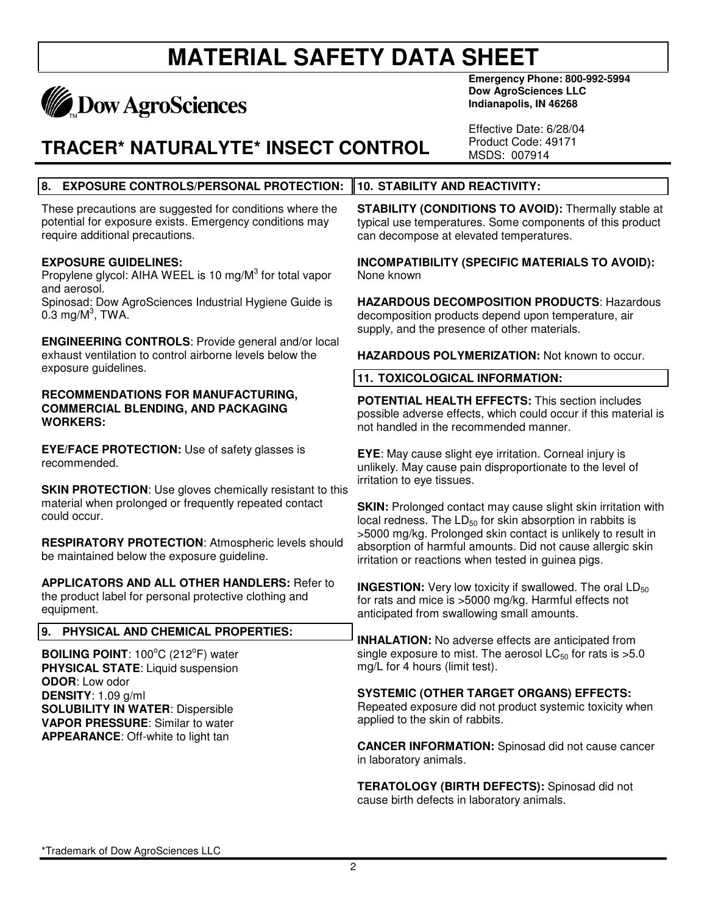### **MATERIAL SAFETY DATA SHEET Emergency Phone: 800-992-5994**

\*Trademark of Dow AgroSciences LLC

# **TRACER\* NATURALYTE\* INSECT CONTROL**

**8. EXPOSURE CONTROLS/PERSONAL PROTECTION:**

These precautions are suggested for conditions where the potential for exposure exists. Emergency conditions may

Propylene glycol: AIHA WEEL is 10 mg/M<sup>3</sup> for total vapor

Spinosad: Dow AgroSciences Industrial Hygiene Guide is

**ENGINEERING CONTROLS**: Provide general and/or local exhaust ventilation to control airborne levels below the

**RECOMMENDATIONS FOR MANUFACTURING, COMMERCIAL BLENDING, AND PACKAGING**

**STABILITY (CONDITIONS TO AVOID):** Thermally stable at typical use temperatures. Some components of this product can decompose at elevated temperatures.

**Dow AgroSciences LLC Indianapolis, IN 46268**

Effective Date: 6/28/04 Product Code: 49171 MSDS: 007914

**INCOMPATIBILITY (SPECIFIC MATERIALS TO AVOID):** None known

**HAZARDOUS DECOMPOSITION PRODUCTS**: Hazardous decomposition products depend upon temperature, air supply, and the presence of other materials.

**HAZARDOUS POLYMERIZATION:** Not known to occur.

#### **11. TOXICOLOGICAL INFORMATION:**

**10. STABILITY AND REACTIVITY:**

**POTENTIAL HEALTH EFFECTS:** This section includes possible adverse effects, which could occur if this material is not handled in the recommended manner.

**EYE**: May cause slight eye irritation. Corneal injury is unlikely. May cause pain disproportionate to the level of irritation to eye tissues.

**SKIN:** Prolonged contact may cause slight skin irritation with local redness. The  $LD_{50}$  for skin absorption in rabbits is >5000 mg/kg. Prolonged skin contact is unlikely to result in absorption of harmful amounts. Did not cause allergic skin irritation or reactions when tested in guinea pigs.

**INGESTION:** Very low toxicity if swallowed. The oral LD<sub>50</sub> for rats and mice is >5000 mg/kg. Harmful effects not anticipated from swallowing small amounts.

**INHALATION:** No adverse effects are anticipated from single exposure to mist. The aerosol  $LC_{50}$  for rats is  $>5.0$ mg/L for 4 hours (limit test).

**SYSTEMIC (OTHER TARGET ORGANS) EFFECTS:** Repeated exposure did not product systemic toxicity when applied to the skin of rabbits.

**CANCER INFORMATION:** Spinosad did not cause cancer in laboratory animals.

**TERATOLOGY (BIRTH DEFECTS):** Spinosad did not cause birth defects in laboratory animals.

 $\mathfrak{p}$ 

**BOILING POINT: 100°C (212°F) water** 

**PHYSICAL STATE**: Liquid suspension **ODOR**: Low odor **DENSITY**: 1.09 g/ml **SOLUBILITY IN WATER**: Dispersible **VAPOR PRESSURE**: Similar to water

### **APPEARANCE**: Off-white to light tan

**EYE/FACE PROTECTION:** Use of safety glasses is recommended.

require additional precautions.

**May Dow AgroSciences** 

**EXPOSURE GUIDELINES:**

and aerosol.

**WORKERS:**

 $0.3 \text{ mg/M}^3$ , TWA.

exposure guidelines.

**SKIN PROTECTION**: Use gloves chemically resistant to this material when prolonged or frequently repeated contact could occur.

be maintained below the exposure guideline.

**9. PHYSICAL AND CHEMICAL PROPERTIES:**

**RESPIRATORY PROTECTION**: Atmospheric levels should

**APPLICATORS AND ALL OTHER HANDLERS:** Refer to

the product label for personal protective clothing and equipment.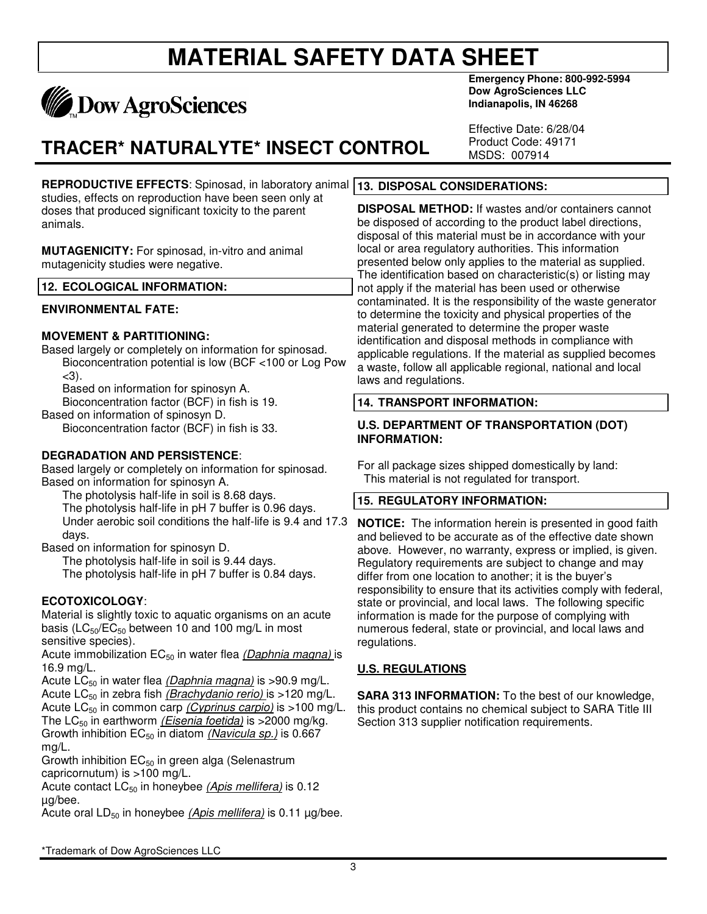# **MATERIAL SAFETY DATA SHEET**



## **TRACER\* NATURALYTE\* INSECT CONTROL**

**REPRODUCTIVE EFFECTS**: Spinosad, in laboratory animal **13. DISPOSAL CONSIDERATIONS:** studies, effects on reproduction have been seen only at doses that produced significant toxicity to the parent animals.

**MUTAGENICITY:** For spinosad, in-vitro and animal mutagenicity studies were negative.

#### **12. ECOLOGICAL INFORMATION:**

#### **ENVIRONMENTAL FATE:**

#### **MOVEMENT & PARTITIONING:**

Based largely or completely on information for spinosad. Bioconcentration potential is low (BCF <100 or Log Pow  $<$ 3).

Based on information for spinosyn A.

Bioconcentration factor (BCF) in fish is 19.

Based on information of spinosyn D.

Bioconcentration factor (BCF) in fish is 33.

#### **DEGRADATION AND PERSISTENCE**:

Based largely or completely on information for spinosad. Based on information for spinosyn A.

The photolysis half-life in soil is 8.68 days.

The photolysis half-life in pH 7 buffer is 0.96 days.

Under aerobic soil conditions the half-life is 9.4 and 17.3 days.

Based on information for spinosyn D.

The photolysis half-life in soil is 9.44 days. The photolysis half-life in pH 7 buffer is 0.84 days.

#### **ECOTOXICOLOGY**:

Material is slightly toxic to aquatic organisms on an acute basis ( $LC_{50}/EC_{50}$  between 10 and 100 mg/L in most sensitive species).

Acute immobilization EC<sub>50</sub> in water flea *(Daphnia magna)* is 16.9 mg/L.

Acute LC<sub>50</sub> in water flea *(Daphnia magna)* is >90.9 mg/L. Acute LC<sub>50</sub> in zebra fish *(Brachydanio rerio)* is >120 mg/L. Acute LC<sub>50</sub> in common carp *(Cyprinus carpio)* is >100 mg/L. The LC<sub>50</sub> in earthworm *(Eisenia foetida)* is >2000 mg/kg. Growth inhibition EC<sub>50</sub> in diatom *(Navicula sp.)* is 0.667 mg/L.

Growth inhibition  $EC_{50}$  in green alga (Selenastrum capricornutum) is >100 mg/L.

Acute contact LC<sub>50</sub> in honeybee *(Apis mellifera)* is 0.12 µg/bee.

Acute oral LD<sub>50</sub> in honeybee *(Apis mellifera)* is 0.11 μg/bee.

**Emergency Phone: 800-992-5994 Dow AgroSciences LLC Indianapolis, IN 46268**

Effective Date: 6/28/04 Product Code: 49171 MSDS: 007914

**DISPOSAL METHOD:** If wastes and/or containers cannot be disposed of according to the product label directions, disposal of this material must be in accordance with your local or area regulatory authorities. This information presented below only applies to the material as supplied. The identification based on characteristic(s) or listing may not apply if the material has been used or otherwise contaminated. It is the responsibility of the waste generator to determine the toxicity and physical properties of the material generated to determine the proper waste identification and disposal methods in compliance with applicable regulations. If the material as supplied becomes a waste, follow all applicable regional, national and local laws and regulations.

#### **14. TRANSPORT INFORMATION:**

#### **U.S. DEPARTMENT OF TRANSPORTATION (DOT) INFORMATION:**

For all package sizes shipped domestically by land: This material is not regulated for transport.

#### **15. REGULATORY INFORMATION:**

**NOTICE:** The information herein is presented in good faith and believed to be accurate as of the effective date shown above. However, no warranty, express or implied, is given. Regulatory requirements are subject to change and may differ from one location to another; it is the buyer's responsibility to ensure that its activities comply with federal, state or provincial, and local laws. The following specific information is made for the purpose of complying with numerous federal, state or provincial, and local laws and regulations.

#### **U.S. REGULATIONS**

**SARA 313 INFORMATION:** To the best of our knowledge, this product contains no chemical subject to SARA Title III Section 313 supplier notification requirements.